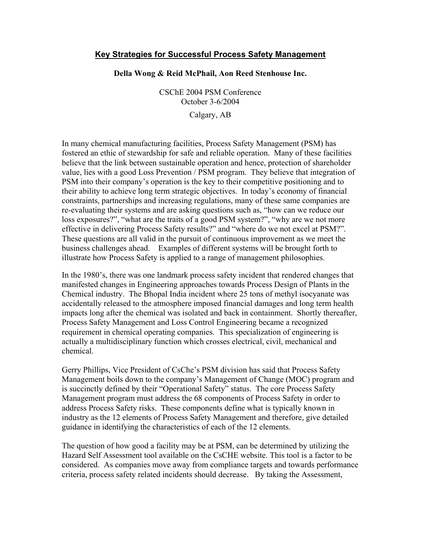## **Key Strategies for Successful Process Safety Management**

## **Della Wong & Reid McPhail, Aon Reed Stenhouse Inc.**

CSChE 2004 PSM Conference October 3-6/2004

Calgary, AB

In many chemical manufacturing facilities, Process Safety Management (PSM) has fostered an ethic of stewardship for safe and reliable operation. Many of these facilities believe that the link between sustainable operation and hence, protection of shareholder value, lies with a good Loss Prevention / PSM program. They believe that integration of PSM into their company's operation is the key to their competitive positioning and to their ability to achieve long term strategic objectives. In today's economy of financial constraints, partnerships and increasing regulations, many of these same companies are re-evaluating their systems and are asking questions such as, "how can we reduce our loss exposures?", "what are the traits of a good PSM system?", "why are we not more effective in delivering Process Safety results?" and "where do we not excel at PSM?". These questions are all valid in the pursuit of continuous improvement as we meet the business challenges ahead. Examples of different systems will be brought forth to illustrate how Process Safety is applied to a range of management philosophies.

In the 1980's, there was one landmark process safety incident that rendered changes that manifested changes in Engineering approaches towards Process Design of Plants in the Chemical industry. The Bhopal India incident where 25 tons of methyl isocyanate was accidentally released to the atmosphere imposed financial damages and long term health impacts long after the chemical was isolated and back in containment. Shortly thereafter, Process Safety Management and Loss Control Engineering became a recognized requirement in chemical operating companies. This specialization of engineering is actually a multidisciplinary function which crosses electrical, civil, mechanical and chemical.

Gerry Phillips, Vice President of CsChe's PSM division has said that Process Safety Management boils down to the company's Management of Change (MOC) program and is succinctly defined by their "Operational Safety" status. The core Process Safety Management program must address the 68 components of Process Safety in order to address Process Safety risks. These components define what is typically known in industry as the 12 elements of Process Safety Management and therefore, give detailed guidance in identifying the characteristics of each of the 12 elements.

The question of how good a facility may be at PSM, can be determined by utilizing the Hazard Self Assessment tool available on the CsCHE website. This tool is a factor to be considered. As companies move away from compliance targets and towards performance criteria, process safety related incidents should decrease. By taking the Assessment,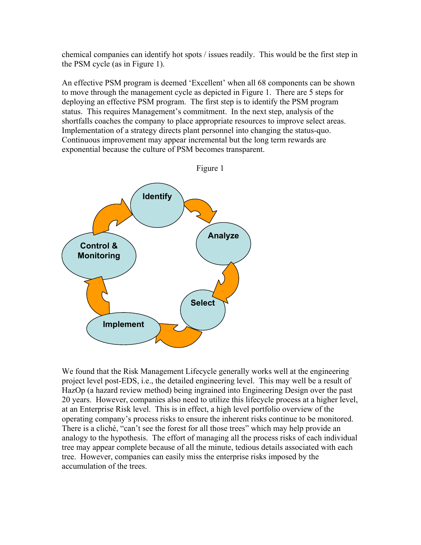chemical companies can identify hot spots / issues readily. This would be the first step in the PSM cycle (as in Figure 1).

An effective PSM program is deemed 'Excellent' when all 68 components can be shown to move through the management cycle as depicted in Figure 1. There are 5 steps for deploying an effective PSM program. The first step is to identify the PSM program status. This requires Management's commitment. In the next step, analysis of the shortfalls coaches the company to place appropriate resources to improve select areas. Implementation of a strategy directs plant personnel into changing the status-quo. Continuous improvement may appear incremental but the long term rewards are exponential because the culture of PSM becomes transparent.



We found that the Risk Management Lifecycle generally works well at the engineering project level post-EDS, i.e., the detailed engineering level. This may well be a result of HazOp (a hazard review method) being ingrained into Engineering Design over the past 20 years. However, companies also need to utilize this lifecycle process at a higher level, at an Enterprise Risk level. This is in effect, a high level portfolio overview of the operating company's process risks to ensure the inherent risks continue to be monitored. There is a cliché, "can't see the forest for all those trees" which may help provide an analogy to the hypothesis. The effort of managing all the process risks of each individual tree may appear complete because of all the minute, tedious details associated with each tree. However, companies can easily miss the enterprise risks imposed by the accumulation of the trees.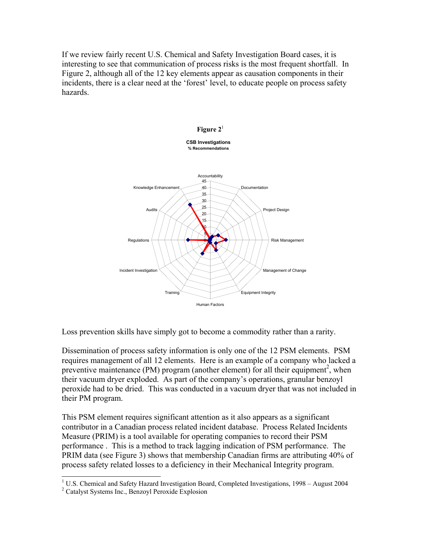If we review fairly recent U.S. Chemical and Safety Investigation Board cases, it is interesting to see that communication of process risks is the most frequent shortfall. In Figure 2, although all of the 12 key elements appear as causation components in their incidents, there is a clear need at the 'forest' level, to educate people on process safety hazards.



Loss prevention skills have simply got to become a commodity rather than a rarity.

Dissemination of process safety information is only one of the 12 PSM elements. PSM requires management of all 12 elements. Here is an example of a company who lacked a preventive maintenance (PM) program (another element) for all their equipment<sup>[2](#page-2-1)</sup>, when their vacuum dryer exploded. As part of the company's operations, granular benzoyl peroxide had to be dried. This was conducted in a vacuum dryer that was not included in their PM program.

This PSM element requires significant attention as it also appears as a significant contributor in a Canadian process related incident database. Process Related Incidents Measure (PRIM) is a tool available for operating companies to record their PSM performance . This is a method to track lagging indication of PSM performance. The PRIM data (see Figure 3) shows that membership Canadian firms are attributing 40% of process safety related losses to a deficiency in their Mechanical Integrity program.

<span id="page-2-0"></span> $\frac{1}{1}$  $1 \text{ U.S. Chemical and Safety Hazard Investigation Board, Complete investigations, } 1998 - August 2004$ 

<span id="page-2-1"></span><sup>&</sup>lt;sup>2</sup> Catalyst Systems Inc., Benzoyl Peroxide Explosion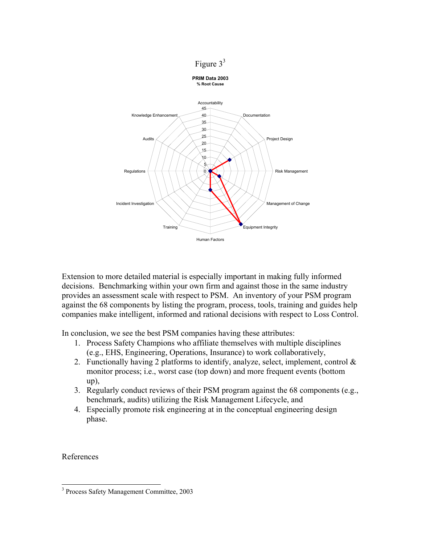



Extension to more detailed material is especially important in making fully informed decisions. Benchmarking within your own firm and against those in the same industry provides an assessment scale with respect to PSM. An inventory of your PSM program against the 68 components by listing the program, process, tools, training and guides help companies make intelligent, informed and rational decisions with respect to Loss Control.

In conclusion, we see the best PSM companies having these attributes:

- 1. Process Safety Champions who affiliate themselves with multiple disciplines (e.g., EHS, Engineering, Operations, Insurance) to work collaboratively,
- 2. Functionally having 2 platforms to identify, analyze, select, implement, control  $\&$ monitor process; i.e., worst case (top down) and more frequent events (bottom up),
- 3. Regularly conduct reviews of their PSM program against the 68 components (e.g., benchmark, audits) utilizing the Risk Management Lifecycle, and
- 4. Especially promote risk engineering at in the conceptual engineering design phase.

References

<span id="page-3-0"></span> <sup>3</sup> <sup>3</sup> Process Safety Management Committee, 2003